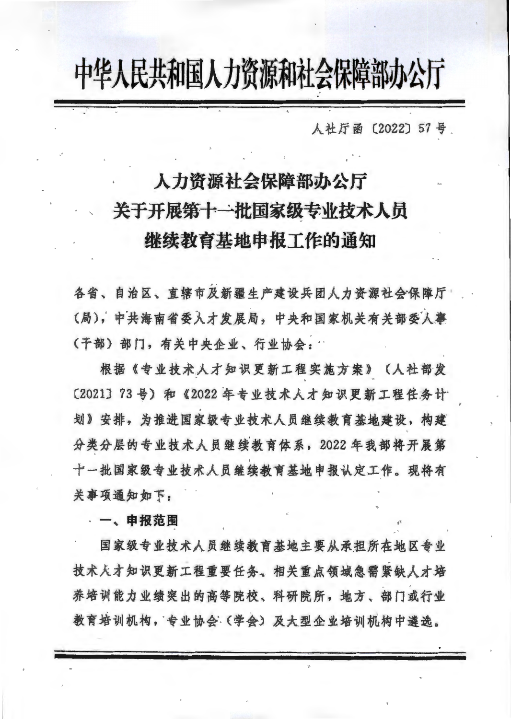## 中华人民共和国人力资源和社会保障部办公厅

人社厅函〔2022〕57号。

## 人力资源社会保障部办公厅 关于开展第十一批国家级专业技术人员 继续教育基地申报工作的通知

各省、自治区、直辖市及新疆生产建设兵团人力资源社会保障厅 (局), 中共海南省委人才发展局, 中央和国家机关有关部委人事 (干部)部门,有关中央企业、行业协会:

根据《专业技术人才知识更新工程实施方案》(人社部发 〔2021〕73号)和《2022年专业技术人才知识更新工程任务计 划》安排,为推进国家级专业技术人员继续教育基地建设,构建 分类分层的专业技术人员继续教育体系, 2022年我部将开展第 十一批国家级专业技术人员继续教育基地申报认定工作。现将有 关事项通知如下:

一、申报范围

国家级专业技术人员继续教育基地主要从承担所在地区专业 技术大才知识更新工程重要任务、相关重点领域急需紧缺人才培 养培训能力业绩突出的高等院校、科研院所,地方、部门或行业 教育培训机构,专业协会(学会)及大型企业培训机构中遴选。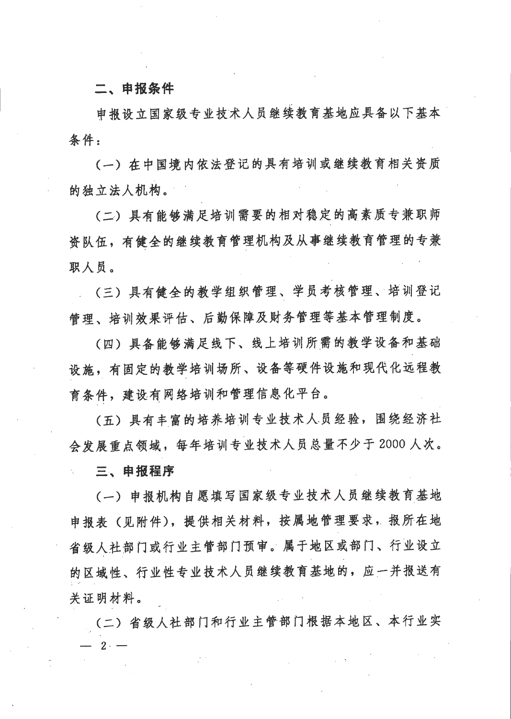## 二、申报条件

申报设立国家级专业技术人员继续教育基地应具备以下基本 条件:

(一) 在中国境内依法登记的具有培训或继续教育相关资质 的独立法人机构。

(二) 具有能够满足培训需要的相对稳定的高素质专兼职师 资队伍,有健全的继续教育管理机构及从事继续教育管理的专兼 职人员。

(三)具有健全的教学组织管理、学员考核管理、培训登记 管理、培训效果评估、后勤保障及财务管理等基本管理制度。

(四)具备能够满足线下、线上培训所需的教学设备和基础 设施,有固定的教学培训场所、设备等硬件设施和现代化远程教 育条件,建设有网络培训和管理信息化平台。

(五)具有丰富的培养培训专业技术人员经验,围绕经济社 会发展重点领域,每年培训专业技术人员总量不少于2000人次。

三、申报程序

(一) 申报机构自愿填写国家级专业技术人员继续教育基地 申报表(见附件),提供相关材料,按属地管理要求,报所在地 省级人社部门或行业主管部门预审。属于地区或部门、行业设立 的区域性、行业性专业技术人员继续教育基地的,应一并报送有 关证明材料。

(二) 省级人社部门和行业主管部门根据本地区、本行业实  $2 -$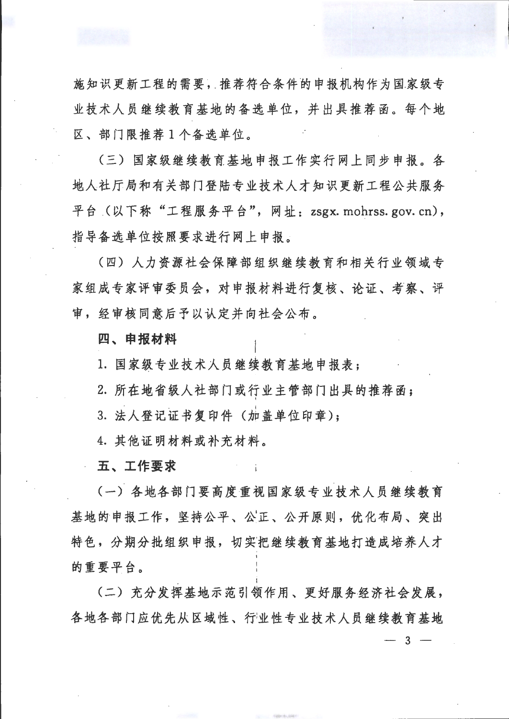施知识更新工程的需要,推荐符合条件的申报机构作为国家级专 业技术人员继续教育基地的备选单位,并出具推荐函。每个地 区、部门限推荐1个备选单位。

(三) 国家级继续教育基地申报工作实行网上同步申报。各 地人社厅局和有关部门登陆专业技术人才知识更新工程公共服务 平台 (以下称"工程服务平台", 网址: zsgx. mohrss. gov. cn), 指导备选单位按照要求进行网上申报。

(四) 人力资源社会保障部组织继续教育和相关行业领域专 家组成专家评审委员会,对申报材料进行复核、论证、考察、评 审, 经审核同意后予以认定并向社会公布。

四、申报材料

1. 国家级专业技术人员继续教育基地申报表:

2. 所在地省级人社部门或行业主管部门出具的推荐函;

3. 法人登记证书复印件(加盖单位印章);

4. 其他证明材料或补充材料。

五、工作要求

(一) 各地各部门要高度重视国家级专业技术人员继续教育 基地的申报工作,坚持公平、公正、公开原则,优化布局、突出 特色,分期分批组织申报,切实把继续教育基地打造成培养人才 的重要平台。

(二) 充分发挥基地示范引领作用、更好服务经济社会发展, 各地各部门应优先从区域性、行业性专业技术人员继续教育基地 3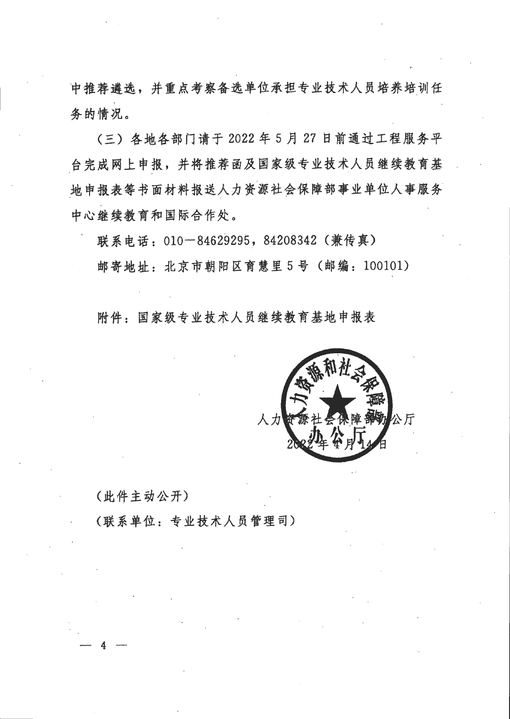中推荐遴选,并重点考察备选单位承担专业技术人员培养培训任 务的情况。

(三) 各地各部门请于 2022 年 5 月 27 日前通过工程服务平 台完成网上申报,并将推荐函及国家级专业技术人员继续教育基 地申报表等书面材料报送人力资源社会保障部事业单位人事服务 中心继续教育和国际合作处。

联系电话: 010-84629295, 84208342 (兼传真) 邮寄地址: 北京市朝阳区育慧里5号 (邮编: 100101)

附件: 国家级专业技术人员继续教育基地申报表



(此件主动公开)

(联系单位:专业技术人员管理司)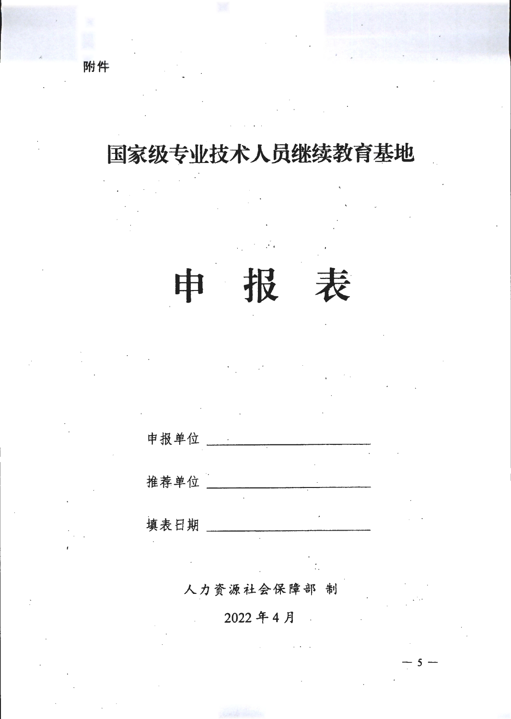附件

## 国家级专业技术人员继续教育基地

申报单位

报

表

申

推荐单位 \_\_\_\_\_\_\_\_\_\_

填表日期

人力资源社会保障部 制

2022年4月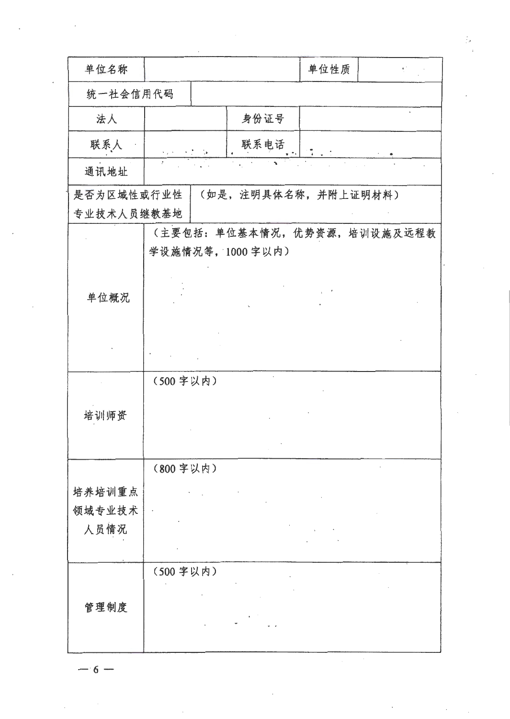| 单位名称       | 单位性质<br>$\mathbf{U} \in \mathbb{R}^{N}$                                         |
|------------|---------------------------------------------------------------------------------|
| 统一社会信用代码   |                                                                                 |
| 法人         | 身份证号                                                                            |
| 联系人        | 联系电话<br>$\mathcal{O}(\mathcal{E}) \geq \frac{1}{2} \sum_{i=1}^n \mathcal{O}(i)$ |
| 通讯地址       |                                                                                 |
| 是否为区域性或行业性 | (如是, 注明具体名称, 并附上证明材料)                                                           |
| 专业技术人员继教基地 |                                                                                 |
|            | (主要包括:单位基本情况,优势资源,培训设施及远程教                                                      |
|            | 学设施情况等, 1000字以内)                                                                |
|            |                                                                                 |
| 单位概况       |                                                                                 |
|            |                                                                                 |
|            |                                                                                 |
|            |                                                                                 |
|            | (500字以内)                                                                        |
| 培训师资       |                                                                                 |
|            |                                                                                 |
|            | (800 字以内)                                                                       |
| 培养培训重点     |                                                                                 |
| 领域专业技术     | $\cdot$                                                                         |
| 人员情况       |                                                                                 |
|            |                                                                                 |
|            | (500 字以内)                                                                       |
|            |                                                                                 |
| 管理制度       |                                                                                 |
|            |                                                                                 |
|            |                                                                                 |

 $\mathbb{R}^2$ 

 $-6 -$